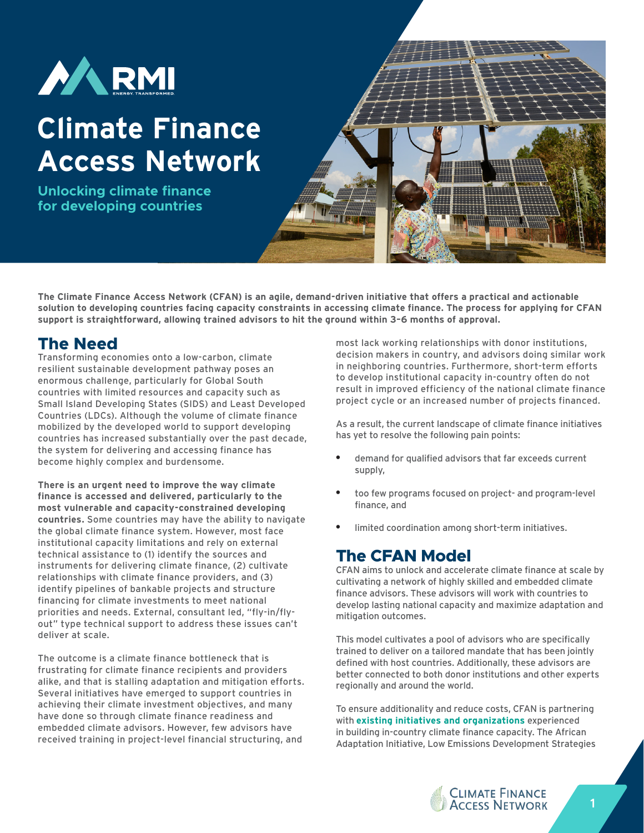

# **Climate Finance Access Network**

**Unlocking climate finance for developing countries**



**The Climate Finance Access Network (CFAN) is an agile, demand-driven initiative that offers a practical and actionable solution to developing countries facing capacity constraints in accessing climate finance. The process for applying for CFAN support is straightforward, allowing trained advisors to hit the ground within 3–6 months of approval.**

## **The Need**

Transforming economies onto a low-carbon, climate resilient sustainable development pathway poses an enormous challenge, particularly for Global South countries with limited resources and capacity such as Small Island Developing States (SIDS) and Least Developed Countries (LDCs). Although the volume of climate finance mobilized by the developed world to support developing countries has increased substantially over the past decade, the system for delivering and accessing finance has become highly complex and burdensome.

**There is an urgent need to improve the way climate finance is accessed and delivered, particularly to the most vulnerable and capacity-constrained developing countries.** Some countries may have the ability to navigate the global climate finance system. However, most face institutional capacity limitations and rely on external technical assistance to (1) identify the sources and instruments for delivering climate finance, (2) cultivate relationships with climate finance providers, and (3) identify pipelines of bankable projects and structure financing for climate investments to meet national priorities and needs. External, consultant led, "fly-in/flyout" type technical support to address these issues can't deliver at scale.

The outcome is a climate finance bottleneck that is frustrating for climate finance recipients and providers alike, and that is stalling adaptation and mitigation efforts. Several initiatives have emerged to support countries in achieving their climate investment objectives, and many have done so through climate finance readiness and embedded climate advisors. However, few advisors have received training in project-level financial structuring, and

most lack working relationships with donor institutions, decision makers in country, and advisors doing similar work in neighboring countries. Furthermore, short-term efforts to develop institutional capacity in-country often do not result in improved efficiency of the national climate finance project cycle or an increased number of projects financed.

As a result, the current landscape of climate finance initiatives has yet to resolve the following pain points:

- demand for qualified advisors that far exceeds current supply,
- too few programs focused on project- and program-level finance, and
- limited coordination among short-term initiatives.

## **The CFAN Model**

CFAN aims to unlock and accelerate climate finance at scale by cultivating a network of highly skilled and embedded climate finance advisors. These advisors will work with countries to develop lasting national capacity and maximize adaptation and mitigation outcomes.

This model cultivates a pool of advisors who are specifically trained to deliver on a tailored mandate that has been jointly defined with host countries. Additionally, these advisors are better connected to both donor institutions and other experts regionally and around the world.

To ensure additionality and reduce costs, CFAN is partnering with **[existing initiatives and organizations](https://cfanadvisors.org/#partners)** experienced in building in-country climate finance capacity. The African Adaptation Initiative, Low Emissions Development Strategies